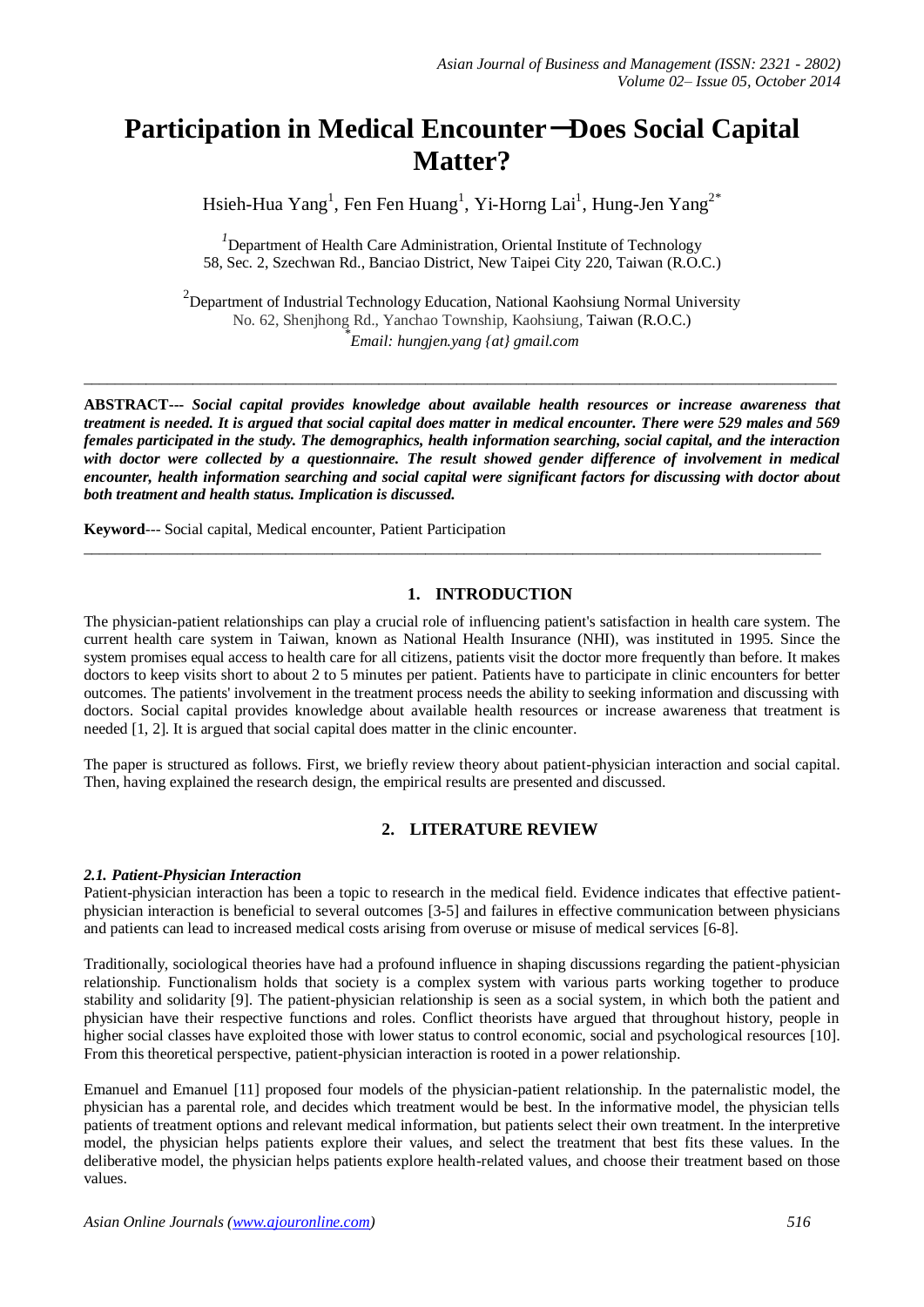# **Participation in Medical Encounter**-**Does Social Capital Matter?**

Hsieh-Hua  $Yang<sup>1</sup>$ , Fen Fen Huang $<sup>1</sup>$ , Yi-Horng Lai $<sup>1</sup>$ , Hung-Jen Yang $<sup>2*</sup>$ </sup></sup></sup>

<sup>1</sup>Department of Health Care Administration, Oriental Institute of Technology 58, Sec. 2, Szechwan Rd., Banciao District, New Taipei City 220, Taiwan (R.O.C.)

<sup>2</sup>Department of Industrial Technology Education, National Kaohsiung Normal University No. 62, Shenjhong Rd., Yanchao Township, Kaohsiung, Taiwan (R.O.C.) \* *Email: hungjen.yang {at} gmail.com*

 $\_$  ,  $\_$  ,  $\_$  ,  $\_$  ,  $\_$  ,  $\_$  ,  $\_$  ,  $\_$  ,  $\_$  ,  $\_$  ,  $\_$  ,  $\_$  ,  $\_$  ,  $\_$  ,  $\_$  ,  $\_$  ,  $\_$  ,  $\_$  ,  $\_$  ,  $\_$  ,  $\_$  ,  $\_$  ,  $\_$  ,  $\_$  ,  $\_$  ,  $\_$  ,  $\_$  ,  $\_$  ,  $\_$  ,  $\_$  ,  $\_$  ,  $\_$  ,  $\_$  ,  $\_$  ,  $\_$  ,  $\_$  ,  $\_$  ,

**ABSTRACT---** *Social capital provides knowledge about available health resources or increase awareness that treatment is needed. It is argued that social capital does matter in medical encounter. There were 529 males and 569 females participated in the study. The demographics, health information searching, social capital, and the interaction with doctor were collected by a questionnaire. The result showed gender difference of involvement in medical encounter, health information searching and social capital were significant factors for discussing with doctor about both treatment and health status. Implication is discussed.*

 $\_$  ,  $\_$  ,  $\_$  ,  $\_$  ,  $\_$  ,  $\_$  ,  $\_$  ,  $\_$  ,  $\_$  ,  $\_$  ,  $\_$  ,  $\_$  ,  $\_$  ,  $\_$  ,  $\_$  ,  $\_$  ,  $\_$  ,  $\_$  ,  $\_$  ,  $\_$  ,  $\_$  ,  $\_$  ,  $\_$  ,  $\_$  ,  $\_$  ,  $\_$  ,  $\_$  ,  $\_$  ,  $\_$  ,  $\_$  ,  $\_$  ,  $\_$  ,  $\_$  ,  $\_$  ,  $\_$  ,  $\_$  ,  $\_$  ,

**Keyword**--- Social capital, Medical encounter, Patient Participation

# **1. INTRODUCTION**

The physician-patient relationships can play a crucial role of influencing patient's satisfaction in health care system. The current health care system in Taiwan, known as National Health Insurance (NHI), was instituted in 1995. Since the system promises equal access to health care for all citizens, patients visit the doctor more frequently than before. It makes doctors to keep visits short to about 2 to 5 minutes per patient. Patients have to participate in clinic encounters for better outcomes. The patients' involvement in the treatment process needs the ability to seeking information and discussing with doctors. Social capital provides knowledge about available health resources or increase awareness that treatment is needed [1, 2]. It is argued that social capital does matter in the clinic encounter.

The paper is structured as follows. First, we briefly review theory about patient-physician interaction and social capital. Then, having explained the research design, the empirical results are presented and discussed.

## **2. LITERATURE REVIEW**

## *2.1. Patient-Physician Interaction*

Patient-physician interaction has been a topic to research in the medical field. Evidence indicates that effective patientphysician interaction is beneficial to several outcomes [3-5] and failures in effective communication between physicians and patients can lead to increased medical costs arising from overuse or misuse of medical services [6-8].

Traditionally, sociological theories have had a profound influence in shaping discussions regarding the patient-physician relationship. Functionalism holds that society is a complex system with various parts working together to produce stability and solidarity [9]. The patient-physician relationship is seen as a social system, in which both the patient and physician have their respective functions and roles. Conflict theorists have argued that throughout history, people in higher social classes have exploited those with lower status to control economic, social and psychological resources [10]. From this theoretical perspective, patient-physician interaction is rooted in a power relationship.

Emanuel and Emanuel [11] proposed four models of the physician-patient relationship. In the paternalistic model, the physician has a parental role, and decides which treatment would be best. In the informative model, the physician tells patients of treatment options and relevant medical information, but patients select their own treatment. In the interpretive model, the physician helps patients explore their values, and select the treatment that best fits these values. In the deliberative model, the physician helps patients explore health-related values, and choose their treatment based on those values.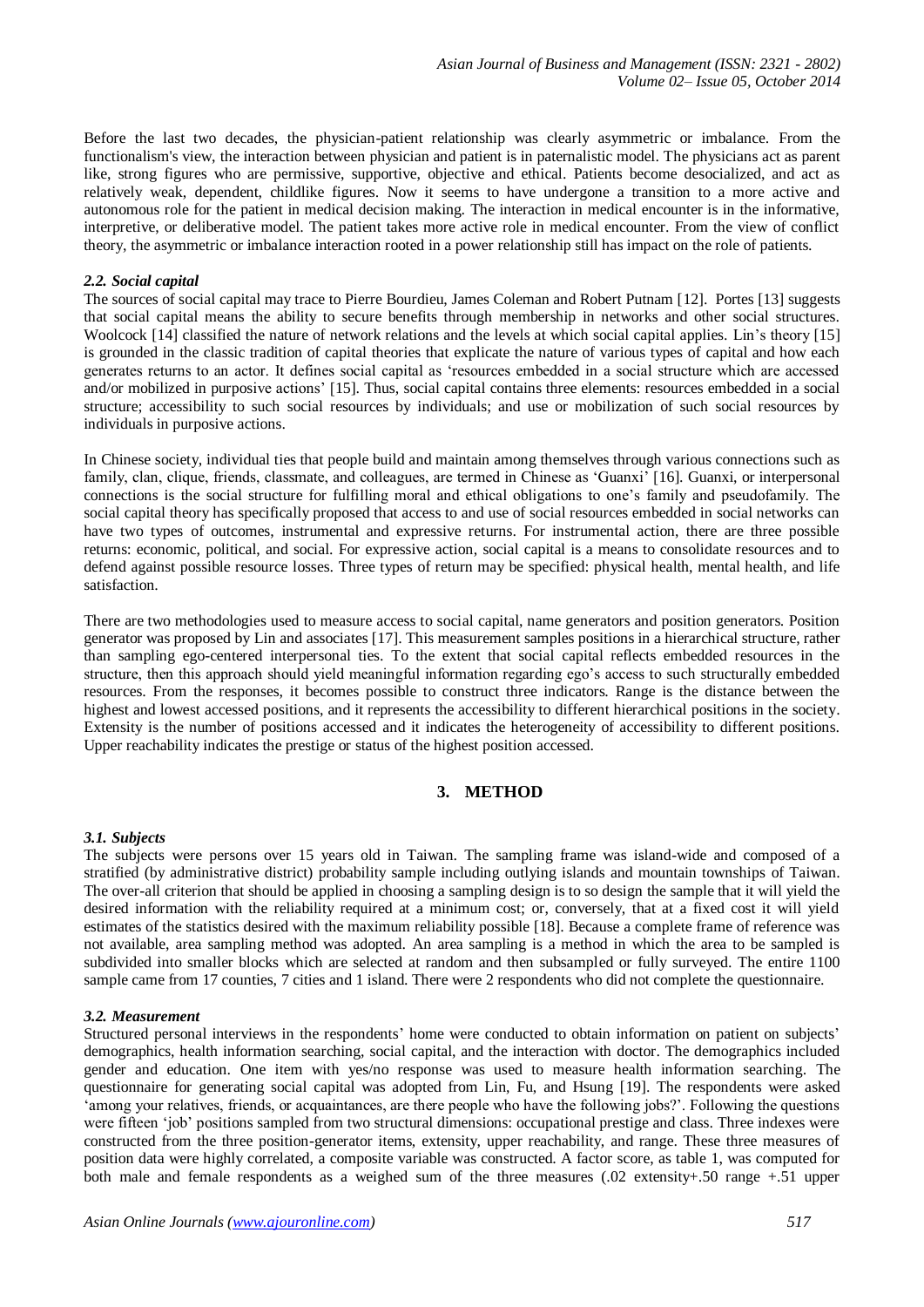Before the last two decades, the physician-patient relationship was clearly asymmetric or imbalance. From the functionalism's view, the interaction between physician and patient is in paternalistic model. The physicians act as parent like, strong figures who are permissive, supportive, objective and ethical. Patients become desocialized, and act as relatively weak, dependent, childlike figures. Now it seems to have undergone a transition to a more active and autonomous role for the patient in medical decision making. The interaction in medical encounter is in the informative, interpretive, or deliberative model. The patient takes more active role in medical encounter. From the view of conflict theory, the asymmetric or imbalance interaction rooted in a power relationship still has impact on the role of patients.

#### *2.2. Social capital*

The sources of social capital may trace to Pierre Bourdieu, James Coleman and Robert Putnam [12]. Portes [13] suggests that social capital means the ability to secure benefits through membership in networks and other social structures. Woolcock [14] classified the nature of network relations and the levels at which social capital applies. Lin's theory [15] is grounded in the classic tradition of capital theories that explicate the nature of various types of capital and how each generates returns to an actor. It defines social capital as 'resources embedded in a social structure which are accessed and/or mobilized in purposive actions' [15]. Thus, social capital contains three elements: resources embedded in a social structure; accessibility to such social resources by individuals; and use or mobilization of such social resources by individuals in purposive actions.

In Chinese society, individual ties that people build and maintain among themselves through various connections such as family, clan, clique, friends, classmate, and colleagues, are termed in Chinese as 'Guanxi' [16]. Guanxi, or interpersonal connections is the social structure for fulfilling moral and ethical obligations to one's family and pseudofamily. The social capital theory has specifically proposed that access to and use of social resources embedded in social networks can have two types of outcomes, instrumental and expressive returns. For instrumental action, there are three possible returns: economic, political, and social. For expressive action, social capital is a means to consolidate resources and to defend against possible resource losses. Three types of return may be specified: physical health, mental health, and life satisfaction.

There are two methodologies used to measure access to social capital, name generators and position generators. Position generator was proposed by Lin and associates [17]. This measurement samples positions in a hierarchical structure, rather than sampling ego-centered interpersonal ties. To the extent that social capital reflects embedded resources in the structure, then this approach should yield meaningful information regarding ego's access to such structurally embedded resources. From the responses, it becomes possible to construct three indicators. Range is the distance between the highest and lowest accessed positions, and it represents the accessibility to different hierarchical positions in the society. Extensity is the number of positions accessed and it indicates the heterogeneity of accessibility to different positions. Upper reachability indicates the prestige or status of the highest position accessed.

## **3. METHOD**

#### *3.1. Subjects*

The subjects were persons over 15 years old in Taiwan. The sampling frame was island-wide and composed of a stratified (by administrative district) probability sample including outlying islands and mountain townships of Taiwan. The over-all criterion that should be applied in choosing a sampling design is to so design the sample that it will yield the desired information with the reliability required at a minimum cost; or, conversely, that at a fixed cost it will yield estimates of the statistics desired with the maximum reliability possible [18]. Because a complete frame of reference was not available, area sampling method was adopted. An area sampling is a method in which the area to be sampled is subdivided into smaller blocks which are selected at random and then subsampled or fully surveyed. The entire 1100 sample came from 17 counties, 7 cities and 1 island. There were 2 respondents who did not complete the questionnaire.

## *3.2. Measurement*

Structured personal interviews in the respondents' home were conducted to obtain information on patient on subjects' demographics, health information searching, social capital, and the interaction with doctor. The demographics included gender and education. One item with yes/no response was used to measure health information searching. The questionnaire for generating social capital was adopted from Lin, Fu, and Hsung [19]. The respondents were asked 'among your relatives, friends, or acquaintances, are there people who have the following jobs?'. Following the questions were fifteen 'job' positions sampled from two structural dimensions: occupational prestige and class. Three indexes were constructed from the three position-generator items, extensity, upper reachability, and range. These three measures of position data were highly correlated, a composite variable was constructed. A factor score, as table 1, was computed for both male and female respondents as a weighed sum of the three measures (.02 extensity+.50 range +.51 upper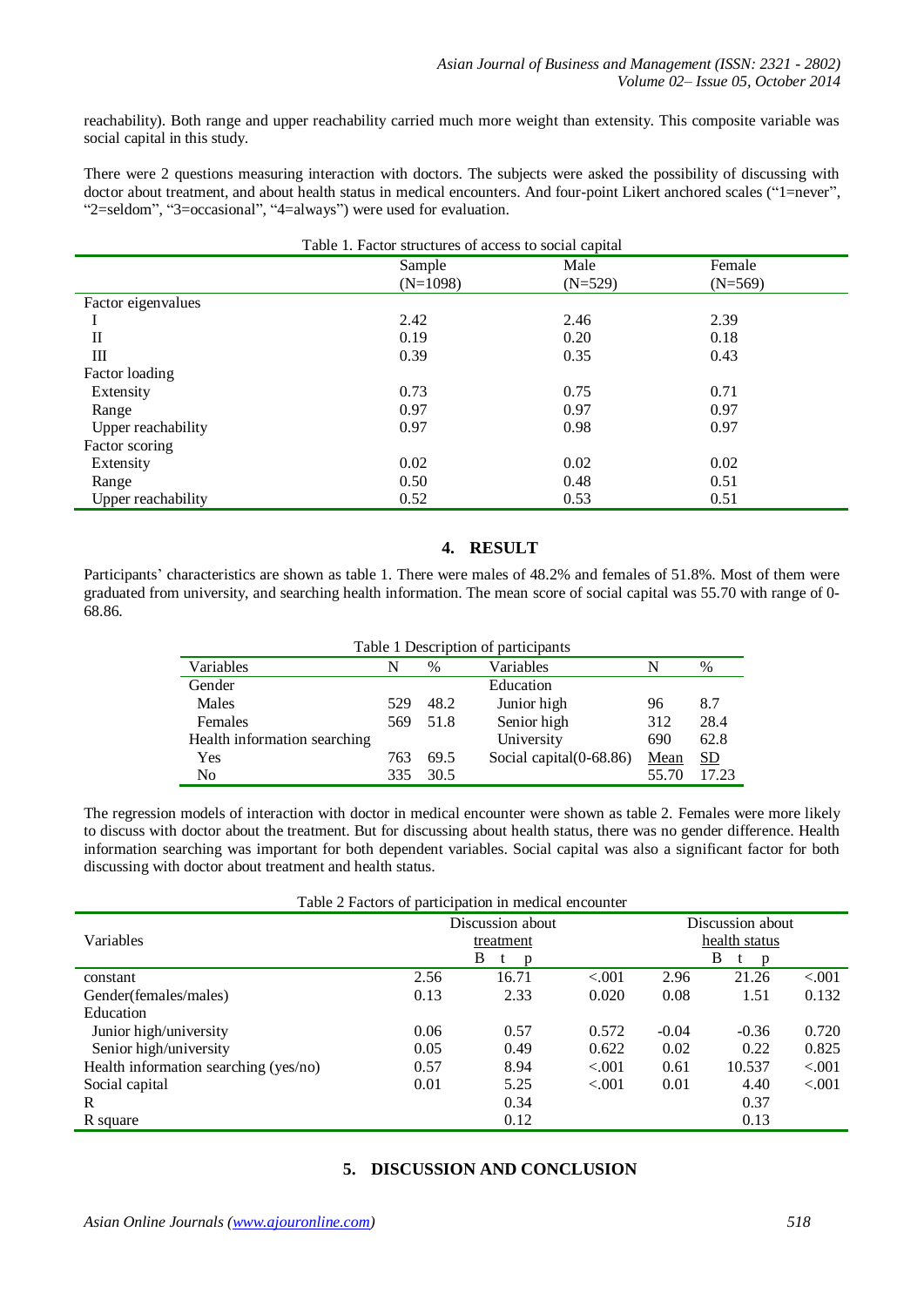reachability). Both range and upper reachability carried much more weight than extensity. This composite variable was social capital in this study.

There were 2 questions measuring interaction with doctors. The subjects were asked the possibility of discussing with doctor about treatment, and about health status in medical encounters. And four-point Likert anchored scales ("1=never", "2=seldom", "3=occasional", "4=always") were used for evaluation.

| Table 1. Factor structures of access to social capital |                      |                   |                     |  |  |  |
|--------------------------------------------------------|----------------------|-------------------|---------------------|--|--|--|
|                                                        | Sample<br>$(N=1098)$ | Male<br>$(N=529)$ | Female<br>$(N=569)$ |  |  |  |
| Factor eigenvalues                                     |                      |                   |                     |  |  |  |
|                                                        | 2.42                 | 2.46              | 2.39                |  |  |  |
| П                                                      | 0.19                 | 0.20              | 0.18                |  |  |  |
| Ш                                                      | 0.39                 | 0.35              | 0.43                |  |  |  |
| Factor loading                                         |                      |                   |                     |  |  |  |
| Extensity                                              | 0.73                 | 0.75              | 0.71                |  |  |  |
| Range                                                  | 0.97                 | 0.97              | 0.97                |  |  |  |
| Upper reachability                                     | 0.97                 | 0.98              | 0.97                |  |  |  |
| Factor scoring                                         |                      |                   |                     |  |  |  |
| Extensity                                              | 0.02                 | 0.02              | 0.02                |  |  |  |
| Range                                                  | 0.50                 | 0.48              | 0.51                |  |  |  |
| Upper reachability                                     | 0.52                 | 0.53              | 0.51                |  |  |  |

## **4. RESULT**

Participants' characteristics are shown as table 1. There were males of 48.2% and females of 51.8%. Most of them were graduated from university, and searching health information. The mean score of social capital was 55.70 with range of 0- 68.86.

| Variables                    | N   | $\%$ | Variables               | N     | $\%$  |
|------------------------------|-----|------|-------------------------|-------|-------|
| Gender                       |     |      | Education               |       |       |
| Males                        | 529 | 48.2 | Junior high             | 96    | 8.7   |
| Females                      | 569 | 51.8 | Senior high             | 312   | 28.4  |
| Health information searching |     |      | University              | 690   | 62.8  |
| Yes                          | 763 | 69.5 | Social capital(0-68.86) | Mean  | SD    |
| No                           | 335 | 30.5 |                         | 55.70 | 17.23 |

The regression models of interaction with doctor in medical encounter were shown as table 2. Females were more likely to discuss with doctor about the treatment. But for discussing about health status, there was no gender difference. Health information searching was important for both dependent variables. Social capital was also a significant factor for both discussing with doctor about treatment and health status.

| Table 2 Factors of participation in medical encounter |                               |        |                                   |         |                   |        |  |
|-------------------------------------------------------|-------------------------------|--------|-----------------------------------|---------|-------------------|--------|--|
|                                                       | Discussion about<br>treatment |        | Discussion about<br>health status |         |                   |        |  |
| Variables                                             |                               |        |                                   |         |                   |        |  |
|                                                       |                               | B<br>p |                                   |         | B<br>$\mathbf{D}$ |        |  |
| constant                                              | 2.56                          | 16.71  | < 0.001                           | 2.96    | 21.26             | < .001 |  |
| Gender(females/males)                                 | 0.13                          | 2.33   | 0.020                             | 0.08    | 1.51              | 0.132  |  |
| Education                                             |                               |        |                                   |         |                   |        |  |
| Junior high/university                                | 0.06                          | 0.57   | 0.572                             | $-0.04$ | $-0.36$           | 0.720  |  |
| Senior high/university                                | 0.05                          | 0.49   | 0.622                             | 0.02    | 0.22              | 0.825  |  |
| Health information searching (yes/no)                 | 0.57                          | 8.94   | < 0.001                           | 0.61    | 10.537            | < .001 |  |
| Social capital                                        | 0.01                          | 5.25   | $-.001$                           | 0.01    | 4.40              | < .001 |  |
| R                                                     |                               | 0.34   |                                   |         | 0.37              |        |  |
| R square                                              |                               | 0.12   |                                   |         | 0.13              |        |  |

# **5. DISCUSSION AND CONCLUSION**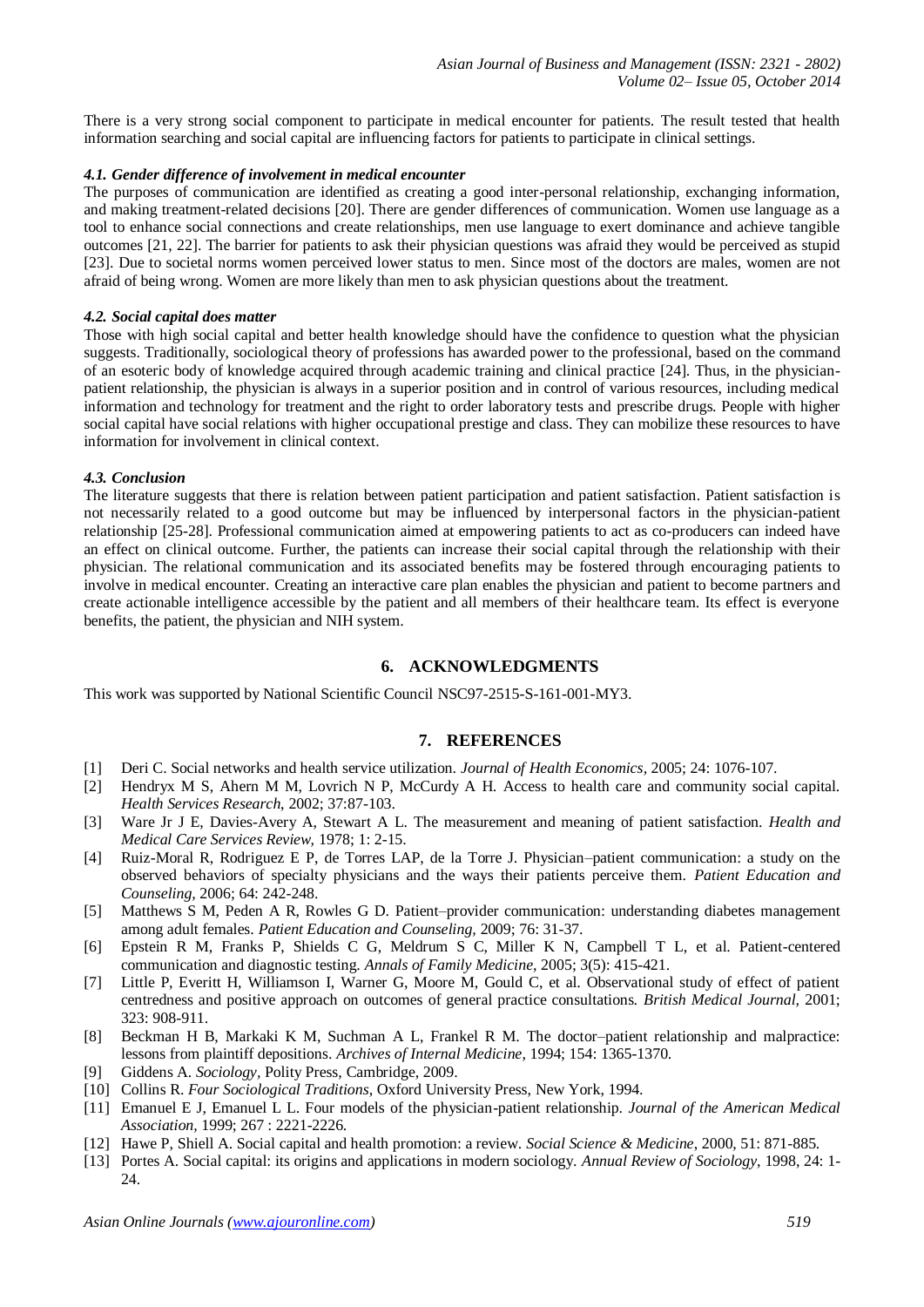There is a very strong social component to participate in medical encounter for patients. The result tested that health information searching and social capital are influencing factors for patients to participate in clinical settings.

#### *4.1. Gender difference of involvement in medical encounter*

The purposes of communication are identified as creating a good inter-personal relationship, exchanging information, and making treatment-related decisions [20]. There are gender differences of communication. Women use language as a tool to enhance social connections and create relationships, men use language to exert dominance and achieve tangible outcomes [21, 22]. The barrier for patients to ask their physician questions was afraid they would be perceived as stupid [23]. Due to societal norms women perceived lower status to men. Since most of the doctors are males, women are not afraid of being wrong. Women are more likely than men to ask physician questions about the treatment.

#### *4.2. Social capital does matter*

Those with high social capital and better health knowledge should have the confidence to question what the physician suggests. Traditionally, sociological theory of professions has awarded power to the professional, based on the command of an esoteric body of knowledge acquired through academic training and clinical practice [24]. Thus, in the physicianpatient relationship, the physician is always in a superior position and in control of various resources, including medical information and technology for treatment and the right to order laboratory tests and prescribe drugs. People with higher social capital have social relations with higher occupational prestige and class. They can mobilize these resources to have information for involvement in clinical context.

#### *4.3. Conclusion*

The literature suggests that there is relation between patient participation and patient satisfaction. Patient satisfaction is not necessarily related to a good outcome but may be influenced by interpersonal factors in the physician-patient relationship [25-28]. Professional communication aimed at empowering patients to act as co-producers can indeed have an effect on clinical outcome. Further, the patients can increase their social capital through the relationship with their physician. The relational communication and its associated benefits may be fostered through encouraging patients to involve in medical encounter. Creating an interactive care plan enables the physician and patient to become partners and create actionable intelligence accessible by the patient and all members of their healthcare team. Its effect is everyone benefits, the patient, the physician and NIH system.

## **6. ACKNOWLEDGMENTS**

This work was supported by National Scientific Council NSC97-2515-S-161-001-MY3.

## **7. REFERENCES**

- [1] Deri C. Social networks and health service utilization. *Journal of Health Economics,* 2005; 24: 1076-107.
- [2] Hendryx M S, Ahern M M, Lovrich N P, McCurdy A H. Access to health care and community social capital. *Health Services Research*, 2002; 37:87-103.
- [3] Ware Jr J E, Davies-Avery A, Stewart A L. The measurement and meaning of patient satisfaction. *Health and Medical Care Services Review,* 1978; 1: 2-15.
- [4] Ruiz-Moral R, Rodriguez E P, de Torres LAP, de la Torre J. Physician–patient communication: a study on the observed behaviors of specialty physicians and the ways their patients perceive them. *Patient Education and Counseling,* 2006; 64: 242-248.
- [5] Matthews S M, Peden A R, Rowles G D. Patient–provider communication: understanding diabetes management among adult females. *Patient Education and Counseling,* 2009; 76: 31-37.
- [6] Epstein R M, Franks P, Shields C G, Meldrum S C, Miller K N, Campbell T L, et al. Patient-centered communication and diagnostic testing. *Annals of Family Medicine*, 2005; 3(5): 415-421.
- [7] Little P, Everitt H, Williamson I, Warner G, Moore M, Gould C, et al. Observational study of effect of patient centredness and positive approach on outcomes of general practice consultations. *British Medical Journal,* 2001; 323: 908-911.
- [8] Beckman H B, Markaki K M, Suchman A L, Frankel R M. The doctor–patient relationship and malpractice: lessons from plaintiff depositions. *Archives of Internal Medicine*, 1994; 154: 1365-1370.
- [9] Giddens A. *Sociology,* Polity Press, Cambridge, 2009.
- [10] Collins R. *Four Sociological Traditions*, Oxford University Press, New York, 1994.
- [11] Emanuel E J, Emanuel L L. Four models of the physician-patient relationship. *Journal of the American Medical Association,* 1999; 267 : 2221-2226.
- [12] Hawe P, Shiell A. Social capital and health promotion: a review. *Social Science & Medicine*, 2000, 51: 871-885.
- [13] Portes A. Social capital: its origins and applications in modern sociology. *Annual Review of Sociology*, 1998, 24: 1- 24.